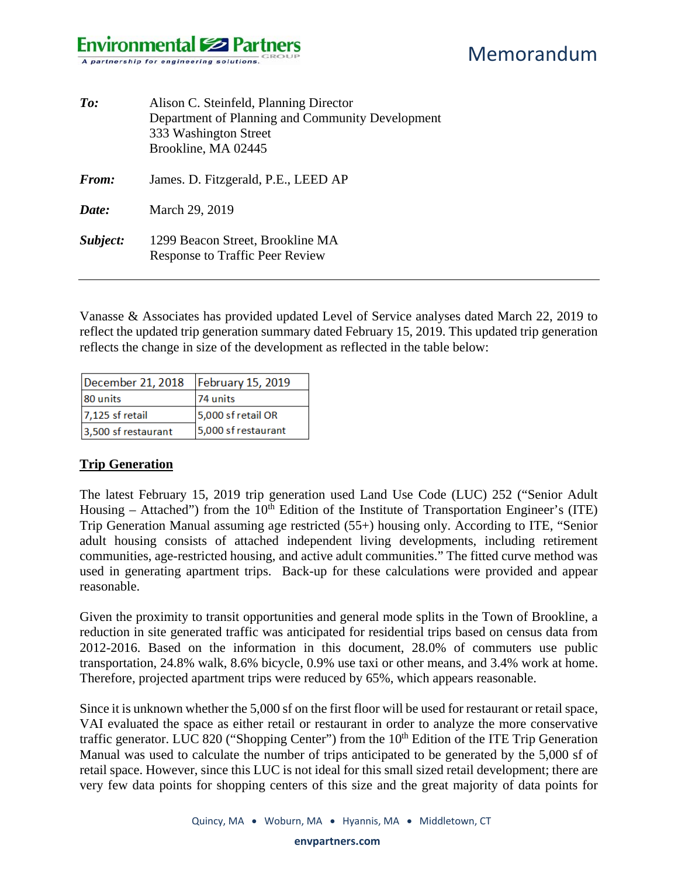| $\mathit{To:}$ | Alison C. Steinfeld, Planning Director<br>Department of Planning and Community Development<br>333 Washington Street<br>Brookline, MA 02445 |
|----------------|--------------------------------------------------------------------------------------------------------------------------------------------|
| From:          | James. D. Fitzgerald, P.E., LEED AP                                                                                                        |
| Date:          | March 29, 2019                                                                                                                             |
| Subject:       | 1299 Beacon Street, Brookline MA<br><b>Response to Traffic Peer Review</b>                                                                 |

Vanasse & Associates has provided updated Level of Service analyses dated March 22, 2019 to reflect the updated trip generation summary dated February 15, 2019. This updated trip generation reflects the change in size of the development as reflected in the table below:

| December 21, 2018   | <b>February 15, 2019</b> |
|---------------------|--------------------------|
| 80 units            | 74 units                 |
| $7,125$ sf retail   | 5,000 sf retail OR       |
| 3,500 sf restaurant | 5,000 sf restaurant      |

## **Trip Generation**

The latest February 15, 2019 trip generation used Land Use Code (LUC) 252 ("Senior Adult Housing – Attached") from the  $10^{th}$  Edition of the Institute of Transportation Engineer's (ITE) Trip Generation Manual assuming age restricted (55+) housing only. According to ITE, "Senior adult housing consists of attached independent living developments, including retirement communities, age-restricted housing, and active adult communities." The fitted curve method was used in generating apartment trips. Back-up for these calculations were provided and appear reasonable.

Given the proximity to transit opportunities and general mode splits in the Town of Brookline, a reduction in site generated traffic was anticipated for residential trips based on census data from 2012-2016. Based on the information in this document, 28.0% of commuters use public transportation, 24.8% walk, 8.6% bicycle, 0.9% use taxi or other means, and 3.4% work at home. Therefore, projected apartment trips were reduced by 65%, which appears reasonable.

Since it is unknown whether the 5,000 sf on the first floor will be used for restaurant or retail space, VAI evaluated the space as either retail or restaurant in order to analyze the more conservative traffic generator. LUC 820 ("Shopping Center") from the  $10<sup>th</sup>$  Edition of the ITE Trip Generation Manual was used to calculate the number of trips anticipated to be generated by the 5,000 sf of retail space. However, since this LUC is not ideal for this small sized retail development; there are very few data points for shopping centers of this size and the great majority of data points for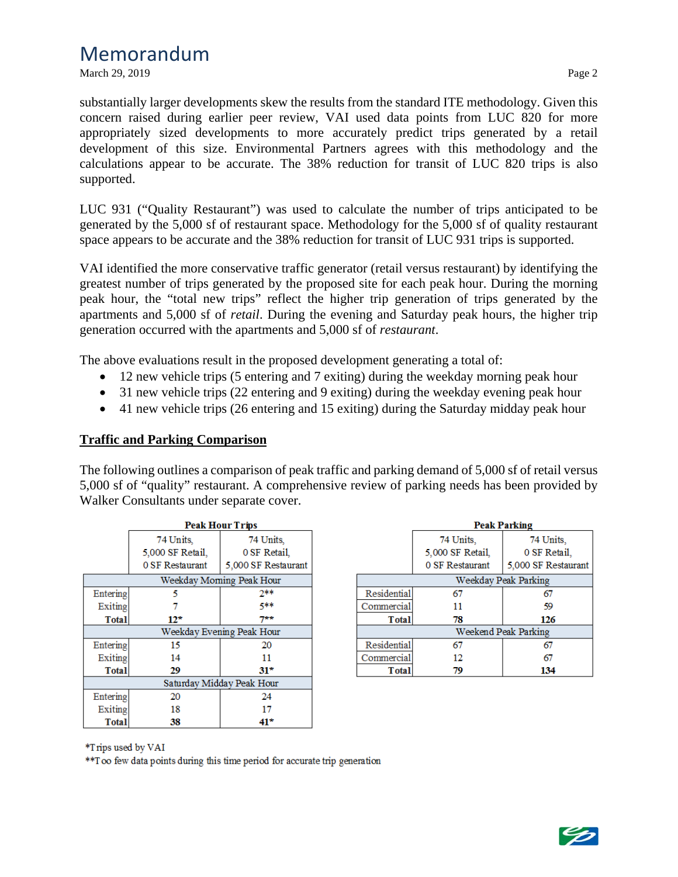March 29, 2019 Page 2

substantially larger developments skew the results from the standard ITE methodology. Given this concern raised during earlier peer review, VAI used data points from LUC 820 for more appropriately sized developments to more accurately predict trips generated by a retail development of this size. Environmental Partners agrees with this methodology and the calculations appear to be accurate. The 38% reduction for transit of LUC 820 trips is also supported.

LUC 931 ("Quality Restaurant") was used to calculate the number of trips anticipated to be generated by the 5,000 sf of restaurant space. Methodology for the 5,000 sf of quality restaurant space appears to be accurate and the 38% reduction for transit of LUC 931 trips is supported.

VAI identified the more conservative traffic generator (retail versus restaurant) by identifying the greatest number of trips generated by the proposed site for each peak hour. During the morning peak hour, the "total new trips" reflect the higher trip generation of trips generated by the apartments and 5,000 sf of *retail*. During the evening and Saturday peak hours, the higher trip generation occurred with the apartments and 5,000 sf of *restaurant*.

The above evaluations result in the proposed development generating a total of:

- 12 new vehicle trips (5 entering and 7 exiting) during the weekday morning peak hour
- 31 new vehicle trips (22 entering and 9 exiting) during the weekday evening peak hour
- 41 new vehicle trips (26 entering and 15 exiting) during the Saturday midday peak hour

#### **Traffic and Parking Comparison**

The following outlines a comparison of peak traffic and parking demand of 5,000 sf of retail versus 5,000 sf of "quality" restaurant. A comprehensive review of parking needs has been provided by Walker Consultants under separate cover.

|                           | <b>Peak Hour Trips</b> |                          |  |
|---------------------------|------------------------|--------------------------|--|
|                           | 74 Units.              | 74 Units.                |  |
|                           | 5,000 SF Retail,       | 0 SF Retail.             |  |
|                           | 0 SF Restaurant        | 5,000 SF Restaurant      |  |
|                           |                        | Weekday Moming Peak Hour |  |
| Entering                  | 5                      | 2**                      |  |
| Exiting                   |                        | 5**                      |  |
| <b>Total</b>              | $12*$                  | 7**                      |  |
| Weekday Evening Peak Hour |                        |                          |  |
| Entering                  | 15                     | 20                       |  |
| Exiting                   | 14                     | 11                       |  |
| <b>Total</b>              | 29                     | 31*                      |  |
| Saturday Midday Peak Hour |                        |                          |  |
| Entering                  | 20                     | 24                       |  |
| Exiting                   | 18                     | 17                       |  |
| Total                     | 38                     | 41*                      |  |

|                      | <b>Peak Parking</b> |                     |  |  |
|----------------------|---------------------|---------------------|--|--|
|                      | 74 Units,           | 74 Units.           |  |  |
|                      | 5,000 SF Retail,    | 0 SF Retail.        |  |  |
|                      | 0 SF Restaurant     | 5,000 SF Restaurant |  |  |
| Weekday Peak Parking |                     |                     |  |  |
| Residential          | 67                  | 67                  |  |  |
| Commercial           | 11                  | 59                  |  |  |
| Total                | 78                  | 126                 |  |  |
| Weekend Peak Parking |                     |                     |  |  |
| Residential          | 67                  | 67                  |  |  |
| Commercial           | 12                  | 67                  |  |  |
| Total                | 79                  | 134                 |  |  |

\*Trips used by VAI

\*\* Too few data points during this time period for accurate trip generation

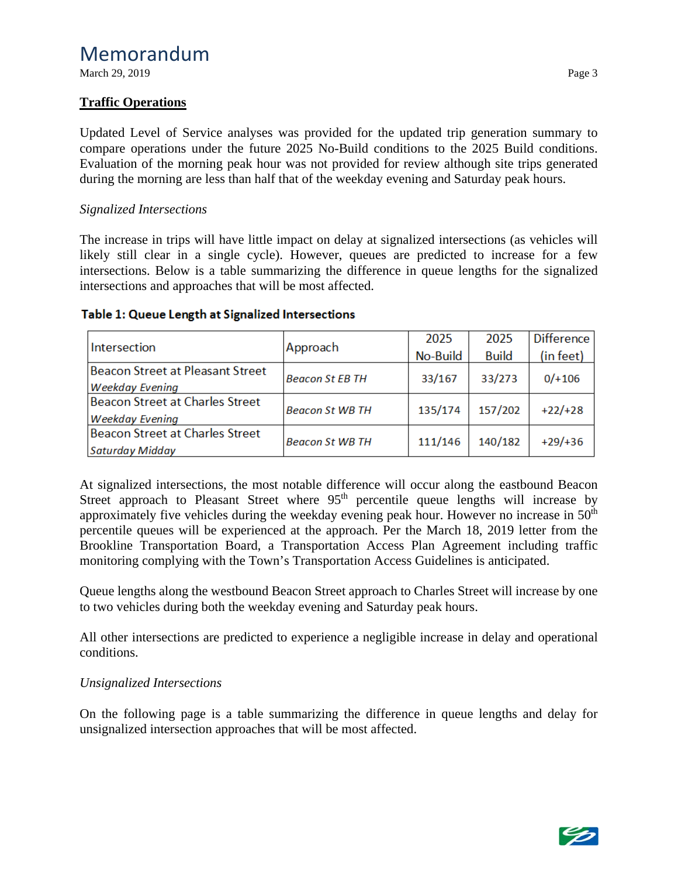March 29, 2019 Page 3

## **Traffic Operations**

Updated Level of Service analyses was provided for the updated trip generation summary to compare operations under the future 2025 No-Build conditions to the 2025 Build conditions. Evaluation of the morning peak hour was not provided for review although site trips generated during the morning are less than half that of the weekday evening and Saturday peak hours.

## *Signalized Intersections*

The increase in trips will have little impact on delay at signalized intersections (as vehicles will likely still clear in a single cycle). However, queues are predicted to increase for a few intersections. Below is a table summarizing the difference in queue lengths for the signalized intersections and approaches that will be most affected.

|                                         |                        | 2025     | 2025         | Difference |  |
|-----------------------------------------|------------------------|----------|--------------|------------|--|
| Intersection                            | Approach               | No-Build | <b>Build</b> | (in feet)  |  |
| <b>Beacon Street at Pleasant Street</b> | <b>Beacon St EB TH</b> | 33/167   | 33/273       | $0/+106$   |  |
| <b>Weekday Evening</b>                  |                        |          |              |            |  |
| Beacon Street at Charles Street         | <b>Beacon St WB TH</b> | 135/174  | 157/202      | $+22/+28$  |  |
| <b>Weekday Evening</b>                  |                        |          |              |            |  |
| Beacon Street at Charles Street         |                        | 111/146  | 140/182      | $+29/+36$  |  |
| Saturday Midday                         | <b>Beacon St WB TH</b> |          |              |            |  |

#### Table 1: Queue Length at Signalized Intersections

At signalized intersections, the most notable difference will occur along the eastbound Beacon Street approach to Pleasant Street where 95<sup>th</sup> percentile queue lengths will increase by approximately five vehicles during the weekday evening peak hour. However no increase in  $50<sup>th</sup>$ percentile queues will be experienced at the approach. Per the March 18, 2019 letter from the Brookline Transportation Board, a Transportation Access Plan Agreement including traffic monitoring complying with the Town's Transportation Access Guidelines is anticipated.

Queue lengths along the westbound Beacon Street approach to Charles Street will increase by one to two vehicles during both the weekday evening and Saturday peak hours.

All other intersections are predicted to experience a negligible increase in delay and operational conditions.

## *Unsignalized Intersections*

On the following page is a table summarizing the difference in queue lengths and delay for unsignalized intersection approaches that will be most affected.

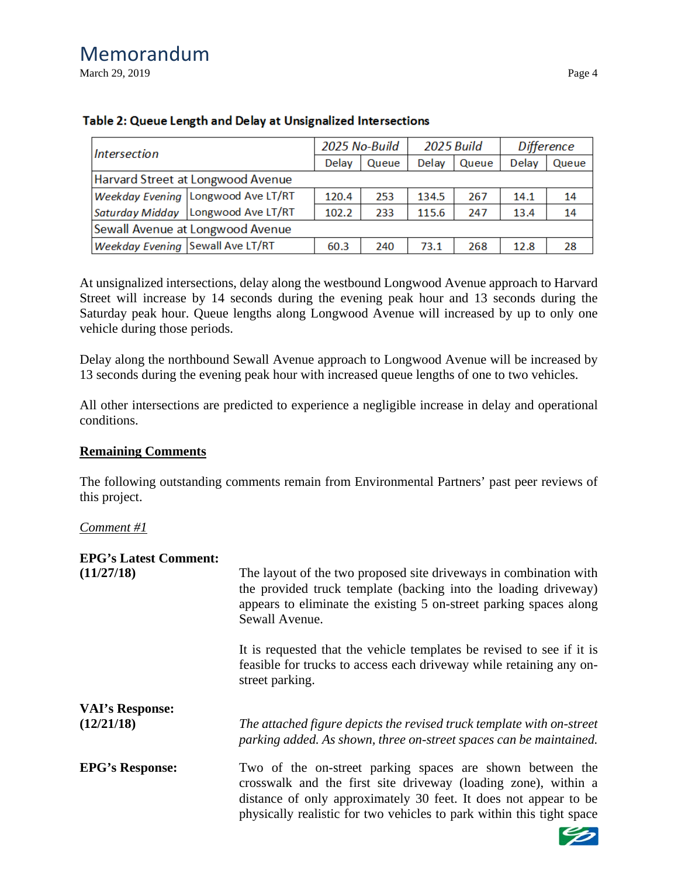March 29, 2019 Page 4

| Intersection                            |                                      | 2025 No-Build |       | 2025 Build |       | Difference |       |
|-----------------------------------------|--------------------------------------|---------------|-------|------------|-------|------------|-------|
|                                         |                                      | Delay         | Queue | Delay      | Queue | Delay      | Queue |
| Harvard Street at Longwood Avenue       |                                      |               |       |            |       |            |       |
|                                         | Weekday Evening   Longwood Ave LT/RT | 120.4         | 253   | 134.5      | 267   | 14.1       | 14    |
|                                         | Saturday Midday Longwood Ave LT/RT   | 102.2         | 233   | 115.6      | 247   | 13.4       | 14    |
| Sewall Avenue at Longwood Avenue        |                                      |               |       |            |       |            |       |
| <b>Weekday Evening Sewall Ave LT/RT</b> |                                      | 60.3          | 240   | 73.1       | 268   | 12.8       | 28    |

## Table 2: Queue Length and Delay at Unsignalized Intersections

At unsignalized intersections, delay along the westbound Longwood Avenue approach to Harvard Street will increase by 14 seconds during the evening peak hour and 13 seconds during the Saturday peak hour. Queue lengths along Longwood Avenue will increased by up to only one vehicle during those periods.

Delay along the northbound Sewall Avenue approach to Longwood Avenue will be increased by 13 seconds during the evening peak hour with increased queue lengths of one to two vehicles.

All other intersections are predicted to experience a negligible increase in delay and operational conditions.

#### **Remaining Comments**

The following outstanding comments remain from Environmental Partners' past peer reviews of this project.

*Comment #1* 

#### **EPG's Latest Comment:**

| (11/27/18)                           | The layout of the two proposed site driveways in combination with<br>the provided truck template (backing into the loading driveway)<br>appears to eliminate the existing 5 on-street parking spaces along<br>Sewall Avenue.                                             |
|--------------------------------------|--------------------------------------------------------------------------------------------------------------------------------------------------------------------------------------------------------------------------------------------------------------------------|
|                                      | It is requested that the vehicle templates be revised to see if it is<br>feasible for trucks to access each driveway while retaining any on-<br>street parking.                                                                                                          |
| <b>VAI's Response:</b><br>(12/21/18) | The attached figure depicts the revised truck template with on-street<br>parking added. As shown, three on-street spaces can be maintained.                                                                                                                              |
| <b>EPG's Response:</b>               | Two of the on-street parking spaces are shown between the<br>crosswalk and the first site driveway (loading zone), within a<br>distance of only approximately 30 feet. It does not appear to be<br>physically realistic for two vehicles to park within this tight space |

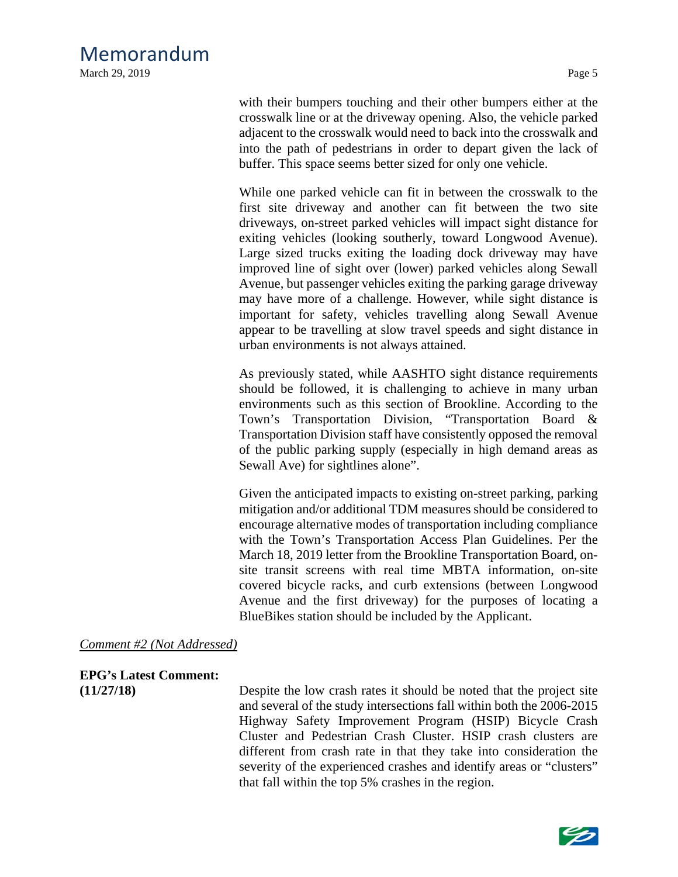March 29, 2019 Page 5

with their bumpers touching and their other bumpers either at the crosswalk line or at the driveway opening. Also, the vehicle parked adjacent to the crosswalk would need to back into the crosswalk and into the path of pedestrians in order to depart given the lack of buffer. This space seems better sized for only one vehicle.

While one parked vehicle can fit in between the crosswalk to the first site driveway and another can fit between the two site driveways, on-street parked vehicles will impact sight distance for exiting vehicles (looking southerly, toward Longwood Avenue). Large sized trucks exiting the loading dock driveway may have improved line of sight over (lower) parked vehicles along Sewall Avenue, but passenger vehicles exiting the parking garage driveway may have more of a challenge. However, while sight distance is important for safety, vehicles travelling along Sewall Avenue appear to be travelling at slow travel speeds and sight distance in urban environments is not always attained.

As previously stated, while AASHTO sight distance requirements should be followed, it is challenging to achieve in many urban environments such as this section of Brookline. According to the Town's Transportation Division, "Transportation Board & Transportation Division staff have consistently opposed the removal of the public parking supply (especially in high demand areas as Sewall Ave) for sightlines alone".

Given the anticipated impacts to existing on-street parking, parking mitigation and/or additional TDM measures should be considered to encourage alternative modes of transportation including compliance with the Town's Transportation Access Plan Guidelines. Per the March 18, 2019 letter from the Brookline Transportation Board, onsite transit screens with real time MBTA information, on-site covered bicycle racks, and curb extensions (between Longwood Avenue and the first driveway) for the purposes of locating a BlueBikes station should be included by the Applicant.

#### *Comment #2 (Not Addressed)*

# **EPG's Latest Comment:**

**(11/27/18)** Despite the low crash rates it should be noted that the project site and several of the study intersections fall within both the 2006-2015 Highway Safety Improvement Program (HSIP) Bicycle Crash Cluster and Pedestrian Crash Cluster. HSIP crash clusters are different from crash rate in that they take into consideration the severity of the experienced crashes and identify areas or "clusters" that fall within the top 5% crashes in the region.